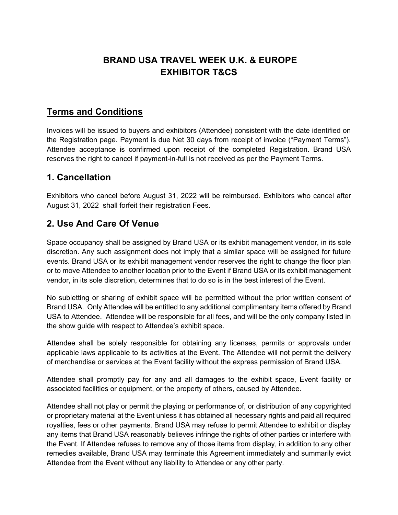## **BRAND USA TRAVEL WEEK U.K. & EUROPE EXHIBITOR T&CS**

## **Terms and Conditions**

Invoices will be issued to buyers and exhibitors (Attendee) consistent with the date identified on the Registration page. Payment is due Net 30 days from receipt of invoice ("Payment Terms"). Attendee acceptance is confirmed upon receipt of the completed Registration. Brand USA reserves the right to cancel if payment-in-full is not received as per the Payment Terms.

## **1. Cancellation**

Exhibitors who cancel before August 31, 2022 will be reimbursed. Exhibitors who cancel after August 31, 2022 shall forfeit their registration Fees.

#### **2. Use And Care Of Venue**

Space occupancy shall be assigned by Brand USA or its exhibit management vendor, in its sole discretion. Any such assignment does not imply that a similar space will be assigned for future events. Brand USA or its exhibit management vendor reserves the right to change the floor plan or to move Attendee to another location prior to the Event if Brand USA or its exhibit management vendor, in its sole discretion, determines that to do so is in the best interest of the Event.

No subletting or sharing of exhibit space will be permitted without the prior written consent of Brand USA. Only Attendee will be entitled to any additional complimentary items offered by Brand USA to Attendee. Attendee will be responsible for all fees, and will be the only company listed in the show guide with respect to Attendee's exhibit space.

Attendee shall be solely responsible for obtaining any licenses, permits or approvals under applicable laws applicable to its activities at the Event. The Attendee will not permit the delivery of merchandise or services at the Event facility without the express permission of Brand USA.

Attendee shall promptly pay for any and all damages to the exhibit space, Event facility or associated facilities or equipment, or the property of others, caused by Attendee.

Attendee shall not play or permit the playing or performance of, or distribution of any copyrighted or proprietary material at the Event unless it has obtained all necessary rights and paid all required royalties, fees or other payments. Brand USA may refuse to permit Attendee to exhibit or display any items that Brand USA reasonably believes infringe the rights of other parties or interfere with the Event. If Attendee refuses to remove any of those items from display, in addition to any other remedies available, Brand USA may terminate this Agreement immediately and summarily evict Attendee from the Event without any liability to Attendee or any other party.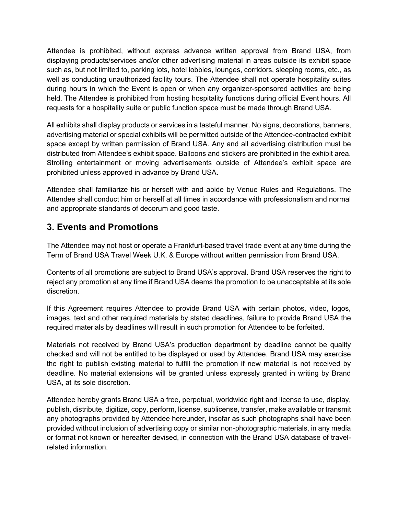Attendee is prohibited, without express advance written approval from Brand USA, from displaying products/services and/or other advertising material in areas outside its exhibit space such as, but not limited to, parking lots, hotel lobbies, lounges, corridors, sleeping rooms, etc., as well as conducting unauthorized facility tours. The Attendee shall not operate hospitality suites during hours in which the Event is open or when any organizer-sponsored activities are being held. The Attendee is prohibited from hosting hospitality functions during official Event hours. All requests for a hospitality suite or public function space must be made through Brand USA.

All exhibits shall display products or services in a tasteful manner. No signs, decorations, banners, advertising material or special exhibits will be permitted outside of the Attendee-contracted exhibit space except by written permission of Brand USA. Any and all advertising distribution must be distributed from Attendee's exhibit space. Balloons and stickers are prohibited in the exhibit area. Strolling entertainment or moving advertisements outside of Attendee's exhibit space are prohibited unless approved in advance by Brand USA.

Attendee shall familiarize his or herself with and abide by Venue Rules and Regulations. The Attendee shall conduct him or herself at all times in accordance with professionalism and normal and appropriate standards of decorum and good taste.

## **3. Events and Promotions**

The Attendee may not host or operate a Frankfurt-based travel trade event at any time during the Term of Brand USA Travel Week U.K. & Europe without written permission from Brand USA.

Contents of all promotions are subject to Brand USA's approval. Brand USA reserves the right to reject any promotion at any time if Brand USA deems the promotion to be unacceptable at its sole discretion.

If this Agreement requires Attendee to provide Brand USA with certain photos, video, logos, images, text and other required materials by stated deadlines, failure to provide Brand USA the required materials by deadlines will result in such promotion for Attendee to be forfeited.

Materials not received by Brand USA's production department by deadline cannot be quality checked and will not be entitled to be displayed or used by Attendee. Brand USA may exercise the right to publish existing material to fulfill the promotion if new material is not received by deadline. No material extensions will be granted unless expressly granted in writing by Brand USA, at its sole discretion.

Attendee hereby grants Brand USA a free, perpetual, worldwide right and license to use, display, publish, distribute, digitize, copy, perform, license, sublicense, transfer, make available or transmit any photographs provided by Attendee hereunder, insofar as such photographs shall have been provided without inclusion of advertising copy or similar non-photographic materials, in any media or format not known or hereafter devised, in connection with the Brand USA database of travelrelated information.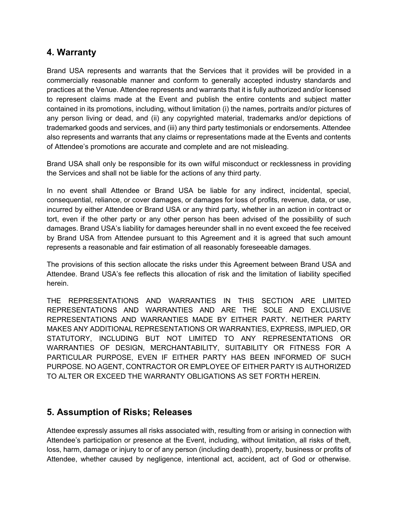#### **4. Warranty**

Brand USA represents and warrants that the Services that it provides will be provided in a commercially reasonable manner and conform to generally accepted industry standards and practices at the Venue. Attendee represents and warrants that it is fully authorized and/or licensed to represent claims made at the Event and publish the entire contents and subject matter contained in its promotions, including, without limitation (i) the names, portraits and/or pictures of any person living or dead, and (ii) any copyrighted material, trademarks and/or depictions of trademarked goods and services, and (iii) any third party testimonials or endorsements. Attendee also represents and warrants that any claims or representations made at the Events and contents of Attendee's promotions are accurate and complete and are not misleading.

Brand USA shall only be responsible for its own wilful misconduct or recklessness in providing the Services and shall not be liable for the actions of any third party.

In no event shall Attendee or Brand USA be liable for any indirect, incidental, special, consequential, reliance, or cover damages, or damages for loss of profits, revenue, data, or use, incurred by either Attendee or Brand USA or any third party, whether in an action in contract or tort, even if the other party or any other person has been advised of the possibility of such damages. Brand USA's liability for damages hereunder shall in no event exceed the fee received by Brand USA from Attendee pursuant to this Agreement and it is agreed that such amount represents a reasonable and fair estimation of all reasonably foreseeable damages.

The provisions of this section allocate the risks under this Agreement between Brand USA and Attendee. Brand USA's fee reflects this allocation of risk and the limitation of liability specified herein.

THE REPRESENTATIONS AND WARRANTIES IN THIS SECTION ARE LIMITED REPRESENTATIONS AND WARRANTIES AND ARE THE SOLE AND EXCLUSIVE REPRESENTATIONS AND WARRANTIES MADE BY EITHER PARTY. NEITHER PARTY MAKES ANY ADDITIONAL REPRESENTATIONS OR WARRANTIES, EXPRESS, IMPLIED, OR STATUTORY, INCLUDING BUT NOT LIMITED TO ANY REPRESENTATIONS OR WARRANTIES OF DESIGN, MERCHANTABILITY, SUITABILITY OR FITNESS FOR A PARTICULAR PURPOSE, EVEN IF EITHER PARTY HAS BEEN INFORMED OF SUCH PURPOSE. NO AGENT, CONTRACTOR OR EMPLOYEE OF EITHER PARTY IS AUTHORIZED TO ALTER OR EXCEED THE WARRANTY OBLIGATIONS AS SET FORTH HEREIN.

## **5. Assumption of Risks; Releases**

Attendee expressly assumes all risks associated with, resulting from or arising in connection with Attendee's participation or presence at the Event, including, without limitation, all risks of theft, loss, harm, damage or injury to or of any person (including death), property, business or profits of Attendee, whether caused by negligence, intentional act, accident, act of God or otherwise.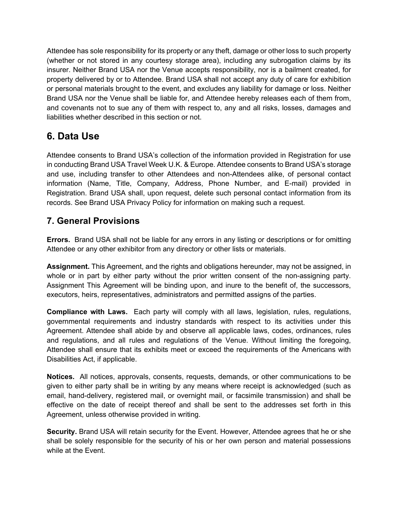Attendee has sole responsibility for its property or any theft, damage or other loss to such property (whether or not stored in any courtesy storage area), including any subrogation claims by its insurer. Neither Brand USA nor the Venue accepts responsibility, nor is a bailment created, for property delivered by or to Attendee. Brand USA shall not accept any duty of care for exhibition or personal materials brought to the event, and excludes any liability for damage or loss. Neither Brand USA nor the Venue shall be liable for, and Attendee hereby releases each of them from, and covenants not to sue any of them with respect to, any and all risks, losses, damages and liabilities whether described in this section or not.

# **6. Data Use**

Attendee consents to Brand USA's collection of the information provided in Registration for use in conducting Brand USA Travel Week U.K. & Europe. Attendee consents to Brand USA's storage and use, including transfer to other Attendees and non-Attendees alike, of personal contact information (Name, Title, Company, Address, Phone Number, and E-mail) provided in Registration. Brand USA shall, upon request, delete such personal contact information from its records. See Brand USA Privacy Policy for information on making such a request.

# **7. General Provisions**

**Errors.** Brand USA shall not be liable for any errors in any listing or descriptions or for omitting Attendee or any other exhibitor from any directory or other lists or materials.

**Assignment.** This Agreement, and the rights and obligations hereunder, may not be assigned, in whole or in part by either party without the prior written consent of the non-assigning party. Assignment This Agreement will be binding upon, and inure to the benefit of, the successors, executors, heirs, representatives, administrators and permitted assigns of the parties.

**Compliance with Laws.** Each party will comply with all laws, legislation, rules, regulations, governmental requirements and industry standards with respect to its activities under this Agreement. Attendee shall abide by and observe all applicable laws, codes, ordinances, rules and regulations, and all rules and regulations of the Venue. Without limiting the foregoing, Attendee shall ensure that its exhibits meet or exceed the requirements of the Americans with Disabilities Act, if applicable.

**Notices.** All notices, approvals, consents, requests, demands, or other communications to be given to either party shall be in writing by any means where receipt is acknowledged (such as email, hand-delivery, registered mail, or overnight mail, or facsimile transmission) and shall be effective on the date of receipt thereof and shall be sent to the addresses set forth in this Agreement, unless otherwise provided in writing.

**Security.** Brand USA will retain security for the Event. However, Attendee agrees that he or she shall be solely responsible for the security of his or her own person and material possessions while at the Event.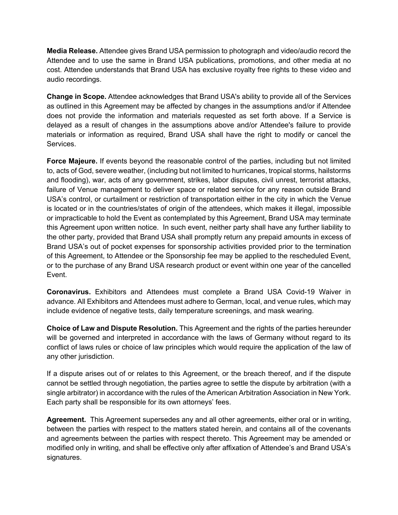**Media Release.** Attendee gives Brand USA permission to photograph and video/audio record the Attendee and to use the same in Brand USA publications, promotions, and other media at no cost. Attendee understands that Brand USA has exclusive royalty free rights to these video and audio recordings.

**Change in Scope.** Attendee acknowledges that Brand USA's ability to provide all of the Services as outlined in this Agreement may be affected by changes in the assumptions and/or if Attendee does not provide the information and materials requested as set forth above. If a Service is delayed as a result of changes in the assumptions above and/or Attendee's failure to provide materials or information as required, Brand USA shall have the right to modify or cancel the Services.

**Force Majeure.** If events beyond the reasonable control of the parties, including but not limited to, acts of God, severe weather, (including but not limited to hurricanes, tropical storms, hailstorms and flooding), war, acts of any government, strikes, labor disputes, civil unrest, terrorist attacks, failure of Venue management to deliver space or related service for any reason outside Brand USA's control, or curtailment or restriction of transportation either in the city in which the Venue is located or in the countries/states of origin of the attendees, which makes it illegal, impossible or impracticable to hold the Event as contemplated by this Agreement, Brand USA may terminate this Agreement upon written notice. In such event, neither party shall have any further liability to the other party, provided that Brand USA shall promptly return any prepaid amounts in excess of Brand USA's out of pocket expenses for sponsorship activities provided prior to the termination of this Agreement, to Attendee or the Sponsorship fee may be applied to the rescheduled Event, or to the purchase of any Brand USA research product or event within one year of the cancelled Event.

**Coronavirus.** Exhibitors and Attendees must complete a Brand USA Covid-19 Waiver in advance. All Exhibitors and Attendees must adhere to German, local, and venue rules, which may include evidence of negative tests, daily temperature screenings, and mask wearing.

**Choice of Law and Dispute Resolution.** This Agreement and the rights of the parties hereunder will be governed and interpreted in accordance with the laws of Germany without regard to its conflict of laws rules or choice of law principles which would require the application of the law of any other jurisdiction.

If a dispute arises out of or relates to this Agreement, or the breach thereof, and if the dispute cannot be settled through negotiation, the parties agree to settle the dispute by arbitration (with a single arbitrator) in accordance with the rules of the American Arbitration Association in New York. Each party shall be responsible for its own attorneys' fees.

**Agreement.** This Agreement supersedes any and all other agreements, either oral or in writing, between the parties with respect to the matters stated herein, and contains all of the covenants and agreements between the parties with respect thereto. This Agreement may be amended or modified only in writing, and shall be effective only after affixation of Attendee's and Brand USA's signatures.